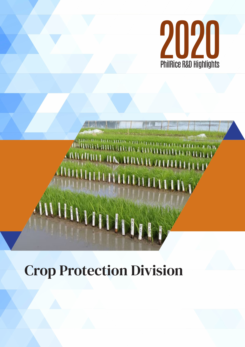

# ARAIRILLE HAS HAVEN A

# Crop Protection Division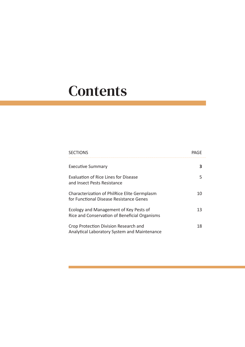# **Contents**

| <b>SECTIONS</b>                                                                         | PAGF |
|-----------------------------------------------------------------------------------------|------|
| Executive Summary                                                                       |      |
| Evaluation of Rice Lines for Disease<br>and Insect Pests Resistance                     | 5    |
| Characterization of PhilRice Elite Germplasm<br>for Functional Disease Resistance Genes | 10   |
| Ecology and Management of Key Pests of<br>Rice and Conservation of Beneficial Organisms | 13   |
| Crop Protection Division Research and<br>Analytical Laboratory System and Maintenance   | 18   |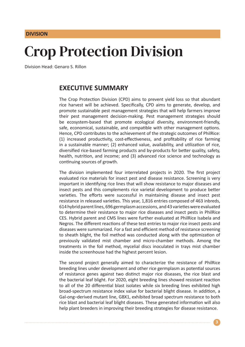#### **DIVISION**

## Crop Protection Division

Division Head: Genaro S. Rillon

#### **EXECUTIVE SUMMARY**

The Crop Protection Division (CPD) aims to prevent yield loss so that abundant rice harvest will be achieved. Specifically, CPD aims to generate, develop, and promote sustainable pest management strategies that will help farmers improve their pest management decision-making. Pest management strategies should be ecosystem-based that promote ecological diversity, environment-friendly, safe, economical, sustainable, and compatible with other management options. Hence, CPD contributes to the achievement of the strategic outcomes of PhilRice: (1) increased productivity, cost-effectiveness, and profitability of rice farming in a sustainable manner; (2) enhanced value, availability, and utilization of rice, diversified rice-based farming products and by-products for better quality, safety, health, nutrition, and income; and (3) advanced rice science and technology as continuing sources of growth.

The division implemented four interrelated projects in 2020. The first project evaluated rice materials for insect pest and disease resistance. Screening is very important in identifying rice lines that will show resistance to major diseases and insect pests and this complements rice varietal development to produce better varieties. The efforts were successful in maintaining disease and insect pest resistance in released varieties. This year, 1,816 entries composed of 463 inbreds, 614 hybrid parent lines, 696 germplasm accessions, and 43 varieties were evaluated to determine their resistance to major rice diseases and insect pests in PhilRice CES. Hybrid parent and CMS lines were further evaluated at PhilRice Isabela and Negros. The different reactions of these test entries to major rice insect pests and diseases were summarized. For a fast and efficient method of resistance screening to sheath blight, the foil method was conducted along with the optimization of previously validated mist chamber and micro-chamber methods. Among the treatments in the foil method, mycelial discs inoculated in trays mist chamber inside the screenhouse had the highest percent lesion.

The second project generally aimed to characterize the resistance of PhilRice breeding lines under development and other rice germplasm as potential sources of resistance genes against two distinct major rice diseases, the rice blast and the bacterial leaf blight. For 2020, eight breeding lines showed resistant reaction to all of the 20 differential blast isolates while six breeding lines exhibited high broad-spectrum resistance index value for bacterial blight disease. In addition, a Gal-ong–derived mutant line, GBX1, exhibited broad spectrum resistance to both rice blast and bacterial leaf blight diseases. These generated information will also help plant breeders in improving their breeding strategies for disease resistance.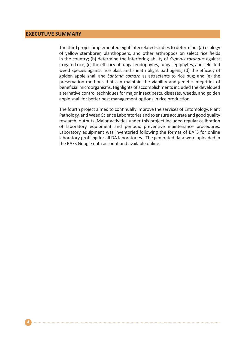#### **EXECUTUVE SUMMARY**

The third project implemented eight interrelated studies to determine: (a) ecology of yellow stemborer, planthoppers, and other arthropods on select rice fields in the country; (b) determine the interfering ability of *Cyperus rotundus* against irrigated rice; (c) the efficacy of fungal endophytes, fungal epiphytes, and selected weed species against rice blast and sheath blight pathogens; (d) the efficacy of golden apple snail and *Lantana camara* as attractants to rice bug; and (e) the preservation methods that can maintain the viability and genetic integrities of beneficial microorganisms. Highlights of accomplishments included the developed alternative control techniques for major insect pests, diseases, weeds, and golden apple snail for better pest management options in rice production.

The fourth project aimed to continually improve the services of Entomology, Plant Pathology, and Weed Science Laboratories and to ensure accurate and good quality research outputs. Major activities under this project included regular calibration of laboratory equipment and periodic preventive maintenance procedures. Laboratory equipment was inventoried following the format of BAFS for online laboratory profiling for all DA laboratories. The generated data were uploaded in the BAFS Google data account and available online.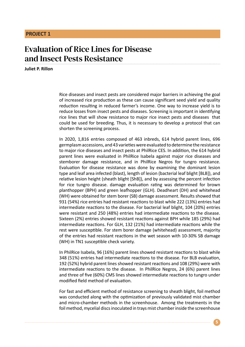### Evaluation of Rice Lines for Disease and Insect Pests Resistance

**Juliet P. Rillon**

Rice diseases and insect pests are considered major barriers in achieving the goal of increased rice production as these can cause significant seed yield and quality reduction resulting in reduced farmer's income. One way to increase yield is to reduce losses from insect pests and diseases. Screening is important in identifying rice lines that will show resistance to major rice insect pests and diseases that could be used for breeding. Thus, it is necessary to develop a protocol that can shorten the screening process.

In 2020, 1,816 entries composed of 463 inbreds, 614 hybrid parent lines, 696 germplasm accessions, and 43 varieties were evaluated to determine the resistance to major rice diseases and insect pests at PhilRice CES. In addition, the 614 hybrid parent lines were evaluated in PhilRice Isabela against major rice diseases and stemborer damage resistance, and in PhilRice Negros for tungro resistance. Evaluation for disease resistance was done by examining the dominant lesion type and leaf area infected (blast), length of lesion (bacterial leaf blight [BLB]), and relative lesion height (sheath blight [ShB]), and by assessing the percent infection for rice tungro disease. damage evaluation rating was determined for brown planthopper (BPH) and green leafhopper (GLH). Deadheart (DH) and whitehead (WH) were obtained for stem borer (SB) damage assessment. Results showed that 931 (54%) rice entries had resistant reactions to blast while 222 (13%) entries had intermediate reactions to the disease. For bacterial leaf blight, 104 (20%) entries were resistant and 250 (48%) entries had intermediate reactions to the disease. Sixteen (2%) entries showed resistant reactions against BPH while 185 (29%) had intermediate reactions. For GLH, 132 (21%) had intermediate reactions while the rest were susceptible. For stem borer damage (whitehead) assessment, majority of the entries had resistant reactions in the wet season with 10-30% SB damage (WH) in TN1 susceptible check variety.

In PhilRice Isabela, 96 (16%) parent lines showed resistant reactions to blast while 348 (51%) entries had intermediate reactions to the disease. For BLB evaluation, 192 (52%) hybrid parent lines showed resistant reactions and 108 (29%) were with intermediate reactions to the disease. In PhilRice Negros, 24 (6%) parent lines and three of five (60%) CMS lines showed intermediate reactions to tungro under modified field method of evaluation.

For fast and efficient method of resistance screening to sheath blight, foil method was conducted along with the optimization of previously validated mist chamber and micro-chamber methods in the screenhouse. Among the treatments in the foil method, mycelial discs inoculated in trays mist chamber inside the screenhouse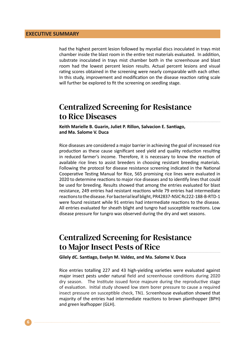had the highest percent lesion followed by mycelial discs inoculated in trays mist chamber inside the blast room in the entire test materials evaluated. In addition, substrate inoculated in trays mist chamber both in the screenhouse and blast room had the lowest percent lesion results. Actual percent lesions and visual rating scores obtained in the screening were nearly comparable with each other. In this study, improvement and modification on the disease reaction rating scale will further be explored to fit the screening on seedling stage.

## Centralized Screening for Resistance to Rice Diseases

**Keith Marielle B. Guarin, Juliet P. Rillon, Salvacion E. Santiago, and Ma. Salome V. Duca**

Rice diseases are considered a major barrier in achieving the goal of increased rice production as these cause significant seed yield and quality reduction resulting in reduced farmer's income. Therefore, it is necessary to know the reaction of available rice lines to assist breeders in choosing resistant breeding materials. Following the protocol for disease resistance screening indicated in the National Cooperative Testing Manual for Rice, 565 promising rice lines were evaluated in 2020 to determine reactions to major rice diseases and to identify lines that could be used for breeding. Results showed that among the entries evaluated for blast resistance, 249 entries had resistant reactions while 79 entries had intermediate reactions to the disease. For bacterial leaf blight, PR42837-NSIC Rc222-188-B-RTD-1 were found resistant while 91 entries had intermediate reactions to the disease. All entries evaluated for sheath blight and tungro had susceptible reactions. Low disease pressure for tungro was observed during the dry and wet seasons.

#### Centralized Screening for Resistance to Major Insect Pests of Rice

**Gilely dC. Santiago, Evelyn M. Valdez, and Ma. Salome V. Duca**

Rice entries totalling 227 and 43 high-yielding varieties were evaluated against major insect pests under natural field and screenhouse conditions during 2020 dry season. The Institute issued force majeure during the reproductive stage of evaluation. Initial study showed low stem borer pressure to cause a required insect pressure on susceptible check, TN1. Screenhouse evaluation showed that majority of the entries had intermediate reactions to brown planthopper (BPH) and green leafhopper (GLH).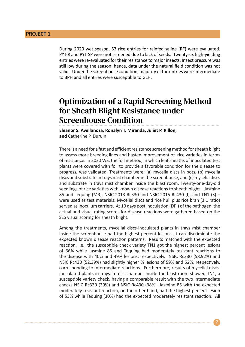During 2020 wet season, 57 rice entries for rainfed saline (RF) were evaluated. PYT-R and PYT-SP were not screened due to lack of seeds. Twenty six high-yielding entries were re-evaluated for their resistance to major insects. Insect pressure was still low during the season; hence, data under the natural field condition was not valid. Under the screenhouse condition, majority of the entries were intermediate to BPH and all entries were susceptible to GLH.

#### Optimization of a Rapid Screening Method for Sheath Blight Resistance under Screenhouse Condition

**Eleanor S. Avellanoza, Ronalyn T. Miranda, Juliet P. Rillon, and** Catherine P. Duruin

There is a need for a fast and efficient resistance screening method for sheath blight to assess more breeding lines and hasten improvement of rice varieties in terms of resistance. In 2020 WS, the foil method, in which leaf sheaths of inoculated test plants were covered with foil to provide a favorable condition for the disease to progress, was validated. Treatments were: (a) mycelia discs in pots, (b) mycelia discs and substrate in trays mist chamber in the screenhouse, and (c) mycelia discs and substrate in trays mist chamber inside the blast room. Twenty-one-day-old seedlings of rice varieties with known disease reactions to sheath blight – Jasmine 85 and Tequing (MR), NSIC 2013 Rc330 and NSIC 2015 Rc430 (I), and TN1 (S) – were used as test materials. Mycelial discs and rice hull plus rice bran (3:1 ratio) served as inoculum carriers. At 10 days post inoculation (DPI) of the pathogen, the actual and visual rating scores for disease reactions were gathered based on the SES visual scoring for sheath blight.

Among the treatments, mycelial discs-inoculated plants in trays mist chamber inside the screenhouse had the highest percent lesions. It can discriminate the expected known disease reaction patterns. Results matched with the expected reaction, i.e., the susceptible check variety TN1 got the highest percent lesions of 66% while Jasmine 85 and Tequing had moderately resistant reactions to the disease with 40% and 49% lesions, respectively. NSIC Rc330 (58.92%) and NSIC Rc430 (52.39%) had slightly higher % lesions of 59% and 52%, respectively, corresponding to intermediate reactions. Furthermore, results of mycelial discsinoculated plants in trays in mist chamber inside the blast room showed TN1, a susceptible variety check, having a comparable result with the two intermediate checks NSIC Rc330 (39%) and NSIC Rc430 (38%). Jasmine 85 with the expected moderately resistant reaction, on the other hand, had the highest percent lesion of 53% while Tequing (30%) had the expected moderately resistant reaction. All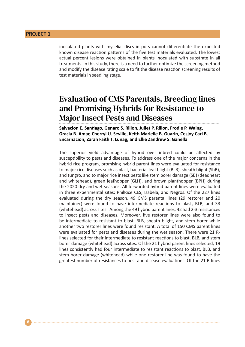inoculated plants with mycelial discs in pots cannot differentiate the expected known disease reaction patterns of the five test materials evaluated. The lowest actual percent lesions were obtained in plants inoculated with substrate in all treatments. In this study, there is a need to further optimize the screening method and modify the disease rating scale to fit the disease reaction screening results of test materials in seedling stage.

## Evaluation of CMS Parentals, Breeding lines and Promising Hybrids for Resistance to Major Insect Pests and Diseases

**Salvacion E. Santiago, Genaro S. Rillon, Juliet P. Rillon, Frodie P. Waing, Gracia B. Amar, Cherryl U. Seville, Keith Marielle B. Guarin, Cesjoy Carl B. Encarnacion, Zarah Faith T. Lunag, and Ellie Zandrew S. Ganella**

The superior yield advantage of hybrid over inbred could be affected by susceptibility to pests and diseases. To address one of the major concerns in the hybrid rice program, promising hybrid parent lines were evaluated for resistance to major rice diseases such as blast, bacterial leaf blight (BLB), sheath blight (ShB), and tungro, and to major rice insect pests like stem borer damage (SB) (deadheart and whitehead), green leafhopper (GLH), and brown planthopper (BPH) during the 2020 dry and wet seasons. All forwarded hybrid parent lines were evaluated in three experimental sites: PhilRice CES, Isabela, and Negros. Of the 227 lines evaluated during the dry season, 49 CMS parental lines (29 restorer and 20 maintainer) were found to have intermediate reactions to blast, BLB, and SB (whitehead) across sites. Among the 49 hybrid parent lines, 42 had 2-3 resistances to insect pests and diseases. Moreover, five restorer lines were also found to be intermediate to resistant to blast, BLB, sheath blight, and stem borer while another two restorer lines were found resistant. A total of 150 CMS parent lines were evaluated for pests and diseases during the wet season. There were 21 Rlines selected for their intermediate to resistant reactions to blast, BLB, and stem borer damage (whitehead) across sites. Of the 21 hybrid parent lines selected, 19 lines consistently had four intermediate to resistant reactions to blast, BLB, and stem borer damage (whitehead) while one restorer line was found to have the greatest number of resistances to pest and disease evaluations. Of the 21 R-lines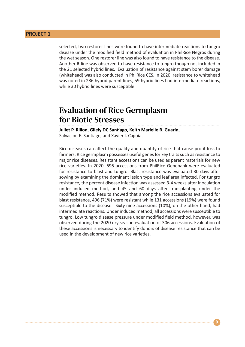selected, two restorer lines were found to have intermediate reactions to tungro disease under the modified field method of evaluation in PhilRice Negros during the wet season. One restorer line was also found to have resistance to the disease. Another R-line was observed to have resistance to tungro though not included in the 21 selected hybrid lines. Evaluation of resistance against stem borer damage (whitehead) was also conducted in PhilRice CES. In 2020, resistance to whitehead was noted in 286 hybrid parent lines, 59 hybrid lines had intermediate reactions, while 30 hybrid lines were susceptible.

#### Evaluation of Rice Germplasm for Biotic Stresses

**Juliet P. Rillon, Gilely DC Santiago, Keith Marielle B. Guarin,**  Salvacion E. Santiago, and Xavier I. Caguiat

Rice diseases can affect the quality and quantity of rice that cause profit loss to farmers. Rice germplasm possesses useful genes for key traits such as resistance to major rice diseases. Resistant accessions can be used as parent materials for new rice varieties. In 2020, 696 accessions from PhilRice Genebank were evaluated for resistance to blast and tungro. Blast resistance was evaluated 30 days after sowing by examining the dominant lesion type and leaf area infected. For tungro resistance, the percent disease infection was assessed 3-4 weeks after inoculation under induced method, and 45 and 60 days after transplanting under the modified method. Results showed that among the rice accessions evaluated for blast resistance, 496 (71%) were resistant while 131 accessions (19%) were found susceptible to the disease. Sixty-nine accessions (10%), on the other hand, had intermediate reactions. Under induced method, all accessions were susceptible to tungro. Low tungro disease pressure under modified field method, however, was observed during the 2020 dry season evaluation of 306 accessions. Evaluation of these accessions is necessary to identify donors of disease resistance that can be used in the development of new rice varieties.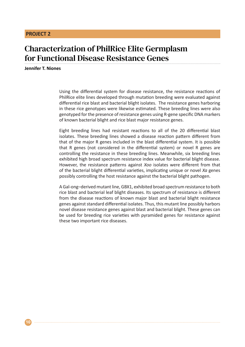## Characterization of PhilRice Elite Germplasm for Functional Disease Resistance Genes

**Jennifer T. Niones**

Using the differential system for disease resistance, the resistance reactions of PhilRice elite lines developed through mutation breeding were evaluated against differential rice blast and bacterial blight isolates. The resistance genes harboring in these rice genotypes were likewise estimated. These breeding lines were also genotyped for the presence of resistance genes using R-gene specific DNA markers of known bacterial blight and rice blast major resistance genes.

Eight breeding lines had resistant reactions to all of the 20 differential blast isolates. These breeding lines showed a disease reaction pattern different from that of the major R genes included in the blast differential system. It is possible that R genes (not considered in the differential system) or novel R genes are controlling the resistance in these breeding lines. Meanwhile, six breeding lines exhibited high broad spectrum resistance index value for bacterial blight disease. However, the resistance patterns against *Xoo* isolates were different from that of the bacterial blight differential varieties, implicating unique or novel *Xa* genes possibly controlling the host resistance against the bacterial blight pathogen.

A Gal-ong–derived mutant line, GBX1, exhibited broad spectrum resistance to both rice blast and bacterial leaf blight diseases. Its spectrum of resistance is different from the disease reactions of known major blast and bacterial blight resistance genes against standard differential isolates. Thus, this mutant line possibly harbors novel disease resistance genes against blast and bacterial blight. These genes can be used for breeding rice varieties with pyramided genes for resistance against these two important rice diseases.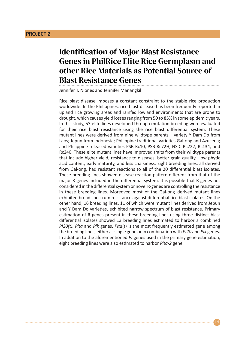## Identification of Major Blast Resistance Genes in PhilRice Elite Rice Germplasm and other Rice Materials as Potential Source of Blast Resistance Genes

Jennifer T. Niones and Jennifer Manangkil

Rice blast disease imposes a constant constraint to the stable rice production worldwide. In the Philippines, rice blast disease has been frequently reported in upland rice growing areas and rainfed lowland environments that are prone to drought, which causes yield losses ranging from 50 to 85% in some epidemic years. In this study, 53 elite lines developed through mutation breeding were evaluated for their rice blast resistance using the rice blast differential system. These mutant lines were derived from nine wildtype parents – variety Y Dam Do from Laos; Jepun from Indonesia; Philippine traditional varieties Gal-ong and Azucena; and Philippine released varieties PSB Rc10, PSB Rc72H, NSIC Rc222, Rc134, and Rc240. These elite mutant lines have improved traits from their wildtype parents that include higher yield, resistance to diseases, better grain quality, low phytic acid content, early maturity, and less chalkiness. Eight breeding lines, all derived from Gal-ong, had resistant reactions to all of the 20 differential blast isolates. These breeding lines showed disease reaction pattern different from that of the major R-genes included in the differential system. It is possible that R-genes not considered in the differential system or novel R-genes are controlling the resistance in these breeding lines. Moreover, most of the Gal-ong–derived mutant lines exhibited broad spectrum resistance against differential rice blast isolates. On the other hand, 16 breeding lines, 11 of which were mutant lines derived from Jepun and Y Dam Do varieties, exhibited narrow spectrum of blast resistance. Primary estimation of R genes present in these breeding lines using three distinct blast differential isolates showed 13 breeding lines estimated to harbor a combined *Pi20(t), Pita* and *Pik* genes. *Pita*(t) is the most frequently estimated gene among the breeding lines, either as single gene or in combination with *Pi20* and *Pik* genes. In addition to the aforementioned *Pi* genes used in the primary gene estimation, eight breeding lines were also estimated to harbor *Pita-2* gene.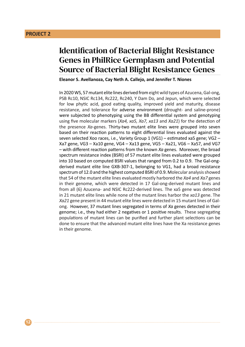## Identification of Bacterial Blight Resistance Genes in PhilRice Germplasm and Potential Source of Bacterial Blight Resistance Genes

**Eleanor S. Avellanoza, Cay Neth A. Callejo, and Jennifer T. Niones**

In 2020 WS, 57 mutant elite lines derived from eight wild types of Azucena, Gal-ong, PSB Rc10, NSIC Rc134, Rc222, Rc240, Y Dam Do, and Jepun, which were selected for low phytic acid, good eating quality, improved yield and maturity, disease resistance, and tolerance for adverse environment (drought- and saline-prone) were subjected to phenotyping using the BB differential system and genotyping using five molecular markers (*Xa4, xa5, Xa7, xa13* and *Xa21*) for the detection of the presence *Xa*-genes. Thirty-two mutant elite lines were grouped into seven based on their reaction patterns to eight differential lines evaluated against the seven selected Xoo races, i.e., Variety Group 1 (VG1) – estimated xa5 gene; VG2 – Xa7 gene, VG3 – Xa10 gene, VG4 – Xa13 gene, VG5 – Xa21, VG6 – Xa57, and VG7 – with different reaction patterns from the known *Xa* genes. Moreover, the broad spectrum resistance index (BSRI) of 57 mutant elite lines evaluated were grouped into 10 based on computed BSRI values that ranged from 0.2 to 0.9. The Gal-ongderived mutant elite line GXB-307-1, belonging to VG1, had a broad resistance spectrum of 12.0 and the highest computed BSRI of 0.9. Molecular analysis showed that 54 of the mutant elite lines evaluated mostly harbored the *Xa4* and *Xa7* genes in their genome, which were detected in 17 Gal-ong-derived mutant lines and from all (6) Azucena- and NSIC Rc222-derived lines. The xa5 gene was detected in 21 mutant elite lines while none of the mutant lines harbor the *xa13* gene. The *Xa21* gene present in 44 mutant elite lines were detected in 15 mutant lines of Galong. However, 37 mutant lines segregated in terms of *Xa* genes detected in their genome; i.e., they had either 2 negatives or 1 positive results. These segregating populations of mutant lines can be purified and further plant selections can be done to ensure that the advanced mutant elite lines have the Xa resistance genes in their genome.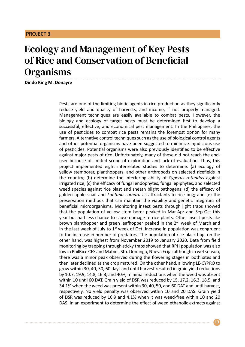## Ecology and Management of Key Pests of Rice and Conservation of Beneficial **Organisms**

**Dindo King M. Donayre**

Pests are one of the limiting biotic agents in rice production as they significantly reduce yield and quality of harvests, and income, if not properly managed. Management techniques are easily available to combat pests. However, the biology and ecology of target pests must be determined first to develop a successful, effective, and economical pest management. In the Philippines, the use of pesticides to combat rice pests remains the foremost option for many farmers. Alternative control techniques such as the use of biological control agents and other potential organisms have been suggested to minimize injudicious use of pesticides. Potential organisms were also previously identified to be effective against major pests of rice. Unfortunately, many of these did not reach the enduser because of limited scope of exploration and lack of evaluation. Thus, this project implemented eight interrelated studies to determine: (a) ecology of yellow stemborer, planthoppers, and other arthropods on selected ricefields in the country; (b) determine the interfering ability of *Cyperus rotundus* against irrigated rice; (c) the efficacy of fungal endophytes, fungal epiphytes, and selected weed species against rice blast and sheath blight pathogens; (d) the efficacy of golden apple snail and *Lantana camara* as attractants to rice bug; and (e) the preservation methods that can maintain the viability and genetic integrities of beneficial microorganisms. Monitoring insect pests through light traps showed that the population of yellow stem borer peaked in Mar-Apr and Sep-Oct this year but had less chance to cause damage to rice plants. Other insect pests like brown planthopper and green leafhopper peaked in the 2<sup>nd</sup> week of March and in the last week of July to  $1<sup>st</sup>$  week of Oct. Increase in population was congruent to the increase in number of predators. The population of rice black bug, on the other hand, was highest from November 2019 to January 2020. Data from field monitoring by trapping through sticky traps showed that RPH population was also low in PhilRice CES and Mabini, Sto. Domingo, Nueva Ecija; although in wet season, there was a minor peak observed during the flowering stages in both sites and then later declined as the crop matured. On the other hand, allowing LE-CYPRO to grow within 30, 40, 50, 60 days and until harvest resulted in grain yield reductions by 10.7, 19.9, 14.8, 16.3, and 40%; minimal reductions when the weed was absent within 10 until 60 DAT. Grain yield of DSR was reduced by 15, 17.2, 16.3, 18.5, and 34.1% when the weed was present within 30, 40, 50, and 60 DAT and until harvest, respectively. No yield penalty was observed within 10 and 20 DAS. Grain yield of DSR was reduced by 16.9 and 4.1% when it was weed-free within 10 and 20 DAS. In an experiment to determine the effect of weed ethanolic extracts against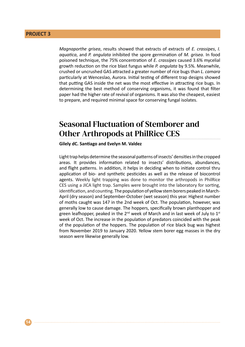*Magnaporthe grisea*, results showed that extracts of extracts of *E. crassipes*, *I. aquatica*, and *P. angulata* inhibited the spore germination of *M. grisea*. In food poisoned technique, the 75% concentration of *E. crassipes* caused 3.6% mycelial growth reduction on the rice blast fungus while *P. angulata* by 9.5%. Meanwhile, crushed or uncrushed GAS attracted a greater number of rice bugs than *L. camara* particularly at Wenceslao, Aurora. Initial testing of different trap designs showed that putting GAS inside the net was the most effective in attracting rice bugs. In determining the best method of conserving organisms, it was found that filter paper had the higher rate of revival of organisms. It was also the cheapest, easiest to prepare, and required minimal space for conserving fungal isolates.

## Seasonal Fluctuation of Stemborer and Other Arthropods at PhilRice CES

#### **Gilely dC. Santiago and Evelyn M. Valdez**

Light trap helps determine the seasonal patterns of insects' densities in the cropped areas. It provides information related to insects' distributions, abundances, and flight patterns. In addition, it helps in deciding when to initiate control thru application of bio- and synthetic pesticides as well as the release of biocontrol agents. Weekly light trapping was done to monitor the arthropods in PhilRice CES using a JICA light trap. Samples were brought into the laboratory for sorting, identification, and counting. The population of yellow stem borers peaked in March-April (dry season) and September-October (wet season) this year. Highest number of moths caught was 147 in the 2nd week of Oct. The population, however, was generally low to cause damage. The hoppers, specifically brown planthopper and green leafhopper, peaked in the  $2^{nd}$  week of March and in last week of July to  $1^{st}$ week of Oct. The increase in the population of predators coincided with the peak of the population of the hoppers. The population of rice black bug was highest from November 2019 to January 2020. Yellow stem borer egg masses in the dry season were likewise generally low.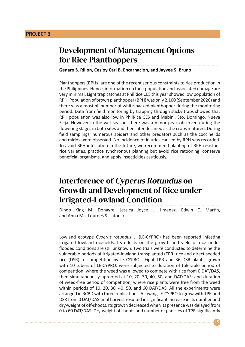### Development of Management Options for Rice Planthoppers

**Genaro S. Rillon, Cesjoy Carl B. Encarnacion, and Jayvee S. Bruno**

Planthoppers (RPHs) are one of the recent serious constraints to rice production in the Philippines. Hence, information on their population and associated damage are very minimal. Light trap catches at PhilRice CES this year showed low population of RPH. Population of brown planthopper (BPH) was only 2,160 (September 2020) and there was almost nil number of white-backed planthopper during the monitoring period. Data from field monitoring by trapping through sticky traps showed that RPH population was also low in PhilRice CES and Mabini, Sto. Domingo, Nueva Ecija. However in the wet season, there was a minor peak observed during the flowering stages in both sites and then later declined as the crops matured. During field samplings, numerous spiders and other predators such as the coccinelids and mirids were observed. No incidence of injuries caused by RPH was recorded. To avoid BPH infestation in the future, we recommend planting of RPH-resistant rice varieties, practice synchronous planting but avoid rice ratooning, conserve beneficial organisms, and apply insecticides cautiously.

## Interference of Cyperus Rotundus on Growth and Development of Rice under Irrigated-Lowland Condition

Dindo King M. Donayre, Jessica Joyce L. Jimenez, Edwin C. Martin, and Anna Ma. Lourdes S. Latonio

Lowland ecotype *Cyperus rotundus* L. (LE-CYPRO) has been reported infesting irrigated lowland ricefields. Its effects on the growth and yield of rice under flooded conditions are still unknown. Two trials were conducted to determine the vulnerable periods of irrigated-lowland transplanted (TPR) rice and direct-seeded rice (DSR) to competition by LE-CYPRO. Eight TPR and 36 DSR plants, grown with 10 tubers of LE-CYPRO, were subjected to duration of tolerable period of competition, where the weed was allowed to compete with rice from 0 DAT/DAS, then simultaneously uprooted at 10, 20, 30, 40, 50, and DAT/DAS; and duration of weed-free period of competition, where rice plants were free from the weed within periods of 10, 20, 30, 40, 50, and 60 DAT/DAS. All the experiments were arranged in RCBD with three replications. Allowing LE-CYPRO to grow with TPR and DSR from 0 DAT/DAS until harvest resulted in significant increase in its number and dry-weight of off-shoots. Its growth decreased when its presence was delayed from 0 to 60 DAT/DAS. Dry-weight of shoots and number of panicles of TPR significantly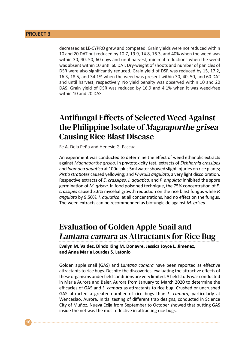decreased as LE-CYPRO grew and competed. Grain yields were not reduced within 10 and 20 DAT but reduced by 10.7, 19.9, 14.8, 16.3, and 40% when the weed was within 30, 40, 50, 60 days and until harvest; minimal reductions when the weed was absent within 10 until 60 DAT. Dry-weight of shoots and number of panicles of DSR were also significantly reduced. Grain yield of DSR was reduced by 15, 17.2, 16.3, 18.5, and 34.1% when the weed was present within 30, 40, 50, and 60 DAT and until harvest, respectively. No yield penalty was observed within 10 and 20 DAS. Grain yield of DSR was reduced by 16.9 and 4.1% when it was weed-free within 10 and 20 DAS.

## Antifungal Effects of Selected Weed Against the Philippine Isolate of Magnaporthe grisea Causing Rice Blast Disease

Fe A. Dela Peña and Henesie G. Pascua

An experiment was conducted to determine the effect of weed ethanolic extracts against *Magnaporthe grisea*. In phytotoxicity test, extracts of *Eichhornia crassipes* and *Ipomoea aquatica* at 100ul plus 5ml water showed slight injuries on rice plants; *Pistia stratiotes* caused yellowing; and *Physalis angulata*, a very light discoloration. Respective extracts of *E. crassipes, I. aquatica,* and *P. angulata* inhibited the spore germination of *M. grisea*. In food poisoned technique, the 75% concentration of *E. crassipes* caused 3.6% mycelial growth reduction on the rice blast fungus while *P. angulata* by 9.50%. *I. aquatica*, at all concentrations, had no effect on the fungus. The weed extracts can be recommended as biofungicide against *M. grisea*.

## Evaluation of Golden Apple Snail and Lantana camara as Attractants for Rice Bug

**Evelyn M. Valdez, Dindo King M. Donayre, Jessica Joyce L. Jimenez, and Anna Maria Lourdes S. Latonio**

Golden apple snail (GAS) and *Lantana camara* have been reported as effective attractants to rice bugs. Despite the discoveries, evaluating the attractive effects of these organisms under field conditions are very limited. A field study was conducted in Maria Aurora and Baler, Aurora from January to March 2020 to determine the efficacies of GAS and *L. camara* as attractants to rice bug*.* Crushed or uncrushed GAS attracted a greater number of rice bugs than *L. camara,* particularly at Wenceslao, Aurora. Initial testing of different trap designs, conducted in Science City of Muñoz, Nueva Ecija from September to October showed that putting GAS inside the net was the most effective in attracting rice bugs.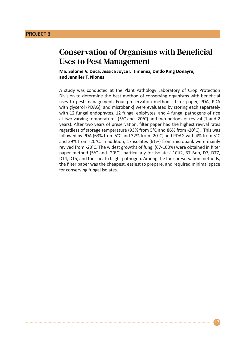#### Conservation of Organisms with Beneficial Uses to Pest Management

**Ma. Salome V. Duca, Jessica Joyce L. Jimenez, Dindo King Donayre, and Jennifer T. Niones**

A study was conducted at the Plant Pathology Laboratory of Crop Protection Division to determine the best method of conserving organisms with beneficial uses to pest management. Four preservation methods [filter paper, PDA, PDA with glycerol (PDAG), and microbank] were evaluated by storing each separately with 12 fungal endophytes, 12 fungal epiphytes, and 4 fungal pathogens of rice at two varying temperatures (5°C and -20°C) and two periods of revival (1 and 2 years). After two years of preservation, filter paper had the highest revival rates regardless of storage temperature (93% from 5°C and 86% from -20°C). This was followed by PDA (63% from 5°C and 32% from -20°C) and PDAG with 4% from 5°C and 29% from -20°C. In addition, 17 isolates (61%) from microbank were mainly revived from -20°C. The widest growths of fungi (67-100%) were obtained in filter paper method (5°C and -20°C), particularly for isolates' 1Clt2, 37 Bub, D7, DT7, DT4, DT5, and the sheath blight pathogen. Among the four preservation methods, the filter paper was the cheapest, easiest to prepare, and required minimal space for conserving fungal isolates.